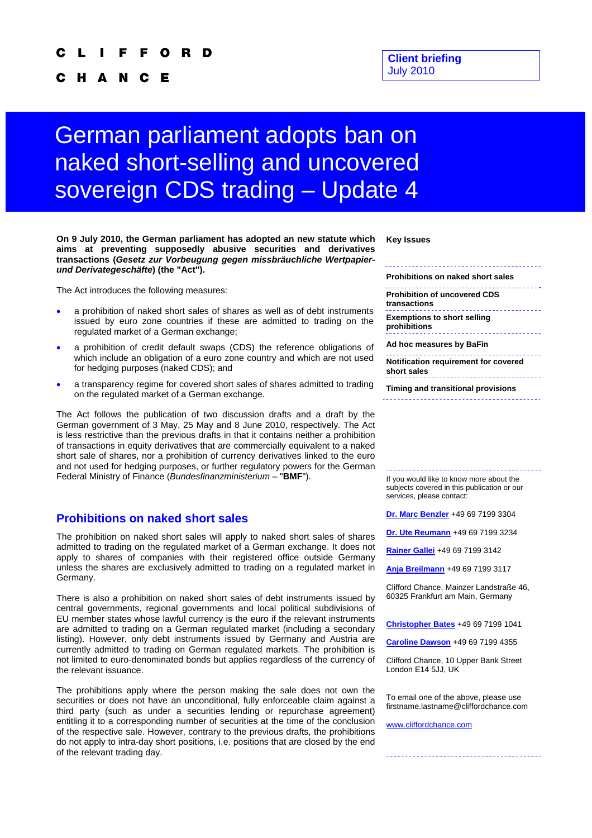#### O R D

H A N C Е

#### **Client briefing**  July 2010

# German parliament adopts ban on naked short-selling and uncovered sovereign CDS trading – Update 4

**On 9 July 2010, the German parliament has adopted an new statute which aims at preventing supposedly abusive securities and derivatives transactions (***Gesetz zur Vorbeugung gegen missbräuchliche Wertpapierund Derivategeschäfte***) (the "Act").** 

The Act introduces the following measures:

- a prohibition of naked short sales of shares as well as of debt instruments issued by euro zone countries if these are admitted to trading on the regulated market of a German exchange;
- a prohibition of credit default swaps (CDS) the reference obligations of which include an obligation of a euro zone country and which are not used for hedging purposes (naked CDS); and
- a transparency regime for covered short sales of shares admitted to trading on the regulated market of a German exchange.

The Act follows the publication of two discussion drafts and a draft by the German government of 3 May, 25 May and 8 June 2010, respectively. The Act is less restrictive than the previous drafts in that it contains neither a prohibition of transactions in equity derivatives that are commercially equivalent to a naked short sale of shares, nor a prohibition of currency derivatives linked to the euro and not used for hedging purposes, or further regulatory powers for the German Federal Ministry of Finance (*Bundesfinanzministerium* – "**BMF**").

### **Prohibitions on naked short sales**

The prohibition on naked short sales will apply to naked short sales of shares admitted to trading on the regulated market of a German exchange. It does not apply to shares of companies with their registered office outside Germany unless the shares are exclusively admitted to trading on a regulated market in Germany.

There is also a prohibition on naked short sales of debt instruments issued by central governments, regional governments and local political subdivisions of EU member states whose lawful currency is the euro if the relevant instruments are admitted to trading on a German regulated market (including a secondary listing). However, only debt instruments issued by Germany and Austria are currently admitted to trading on German regulated markets. The prohibition is not limited to euro-denominated bonds but applies regardless of the currency of the relevant issuance.

The prohibitions apply where the person making the sale does not own the securities or does not have an unconditional, fully enforceable claim against a third party (such as under a securities lending or repurchase agreement) entitling it to a corresponding number of securities at the time of the conclusion of the respective sale. However, contrary to the previous drafts, the prohibitions do not apply to intra-day short positions, i.e. positions that are closed by the end of the relevant trading day.

**Key Issues** 

**prohibitions** 

**Prohibitions on naked short sales** 

**Prohibition of uncovered CDS transactions Exemptions to short selling** 

**Ad hoc measures by BaFin**  

**Notification requirement for covered short sales**  

**Timing and transitional provisions** 

If you would like to know more about the subjects covered in this publication or our services, please contact:

**Dr. Marc Benzler** +49 69 7199 3304

**Dr. Ute Reumann** +49 69 7199 3234

**Rainer Gallei** +49 69 7199 3142

**Anja Breilmann** +49 69 7199 3117

Clifford Chance, Mainzer Landstraße 46, 60325 Frankfurt am Main, Germany

**Christopher Bates** +49 69 7199 1041

**Caroline Dawson** +49 69 7199 4355

Clifford Chance, 10 Upper Bank Street London E14 5JJ, UK

To email one of the above, please use firstname.lastname@cliffordchance.com

www.cliffordchance.com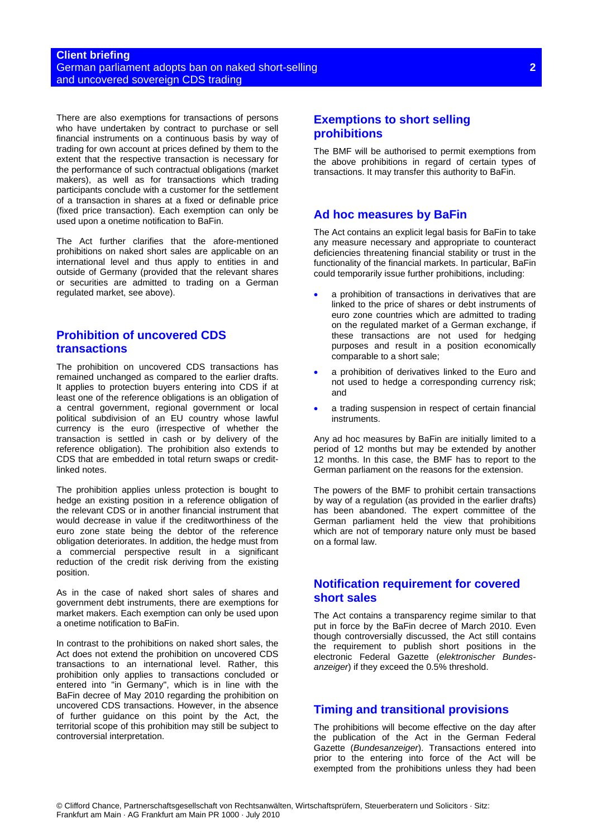#### **Client briefing**  German parliament adopts ban on naked short-selling and uncovered sovereign CDS trading

There are also exemptions for transactions of persons who have undertaken by contract to purchase or sell financial instruments on a continuous basis by way of trading for own account at prices defined by them to the extent that the respective transaction is necessary for the performance of such contractual obligations (market makers), as well as for transactions which trading participants conclude with a customer for the settlement of a transaction in shares at a fixed or definable price (fixed price transaction). Each exemption can only be used upon a onetime notification to BaFin.

The Act further clarifies that the afore-mentioned prohibitions on naked short sales are applicable on an international level and thus apply to entities in and outside of Germany (provided that the relevant shares or securities are admitted to trading on a German regulated market, see above).

## **Prohibition of uncovered CDS transactions**

The prohibition on uncovered CDS transactions has remained unchanged as compared to the earlier drafts. It applies to protection buyers entering into CDS if at least one of the reference obligations is an obligation of a central government, regional government or local political subdivision of an EU country whose lawful currency is the euro (irrespective of whether the transaction is settled in cash or by delivery of the reference obligation). The prohibition also extends to CDS that are embedded in total return swaps or creditlinked notes.

The prohibition applies unless protection is bought to hedge an existing position in a reference obligation of the relevant CDS or in another financial instrument that would decrease in value if the creditworthiness of the euro zone state being the debtor of the reference obligation deteriorates. In addition, the hedge must from a commercial perspective result in a significant reduction of the credit risk deriving from the existing position.

As in the case of naked short sales of shares and government debt instruments, there are exemptions for market makers. Each exemption can only be used upon a onetime notification to BaFin.

In contrast to the prohibitions on naked short sales, the Act does not extend the prohibition on uncovered CDS transactions to an international level. Rather, this prohibition only applies to transactions concluded or entered into "in Germany", which is in line with the BaFin decree of May 2010 regarding the prohibition on uncovered CDS transactions. However, in the absence of further guidance on this point by the Act, the territorial scope of this prohibition may still be subject to controversial interpretation.

# **Exemptions to short selling prohibitions**

The BMF will be authorised to permit exemptions from the above prohibitions in regard of certain types of transactions. It may transfer this authority to BaFin.

# **Ad hoc measures by BaFin**

The Act contains an explicit legal basis for BaFin to take any measure necessary and appropriate to counteract deficiencies threatening financial stability or trust in the functionality of the financial markets. In particular, BaFin could temporarily issue further prohibitions, including:

- a prohibition of transactions in derivatives that are linked to the price of shares or debt instruments of euro zone countries which are admitted to trading on the regulated market of a German exchange, if these transactions are not used for hedging purposes and result in a position economically comparable to a short sale;
- a prohibition of derivatives linked to the Euro and not used to hedge a corresponding currency risk; and
- a trading suspension in respect of certain financial instruments.

Any ad hoc measures by BaFin are initially limited to a period of 12 months but may be extended by another 12 months. In this case, the BMF has to report to the German parliament on the reasons for the extension.

The powers of the BMF to prohibit certain transactions by way of a regulation (as provided in the earlier drafts) has been abandoned. The expert committee of the German parliament held the view that prohibitions which are not of temporary nature only must be based on a formal law.

# **Notification requirement for covered short sales**

The Act contains a transparency regime similar to that put in force by the BaFin decree of March 2010. Even though controversially discussed, the Act still contains the requirement to publish short positions in the electronic Federal Gazette (*elektronischer Bundesanzeiger*) if they exceed the 0.5% threshold.

# **Timing and transitional provisions**

The prohibitions will become effective on the day after the publication of the Act in the German Federal Gazette (*Bundesanzeiger*). Transactions entered into prior to the entering into force of the Act will be exempted from the prohibitions unless they had been